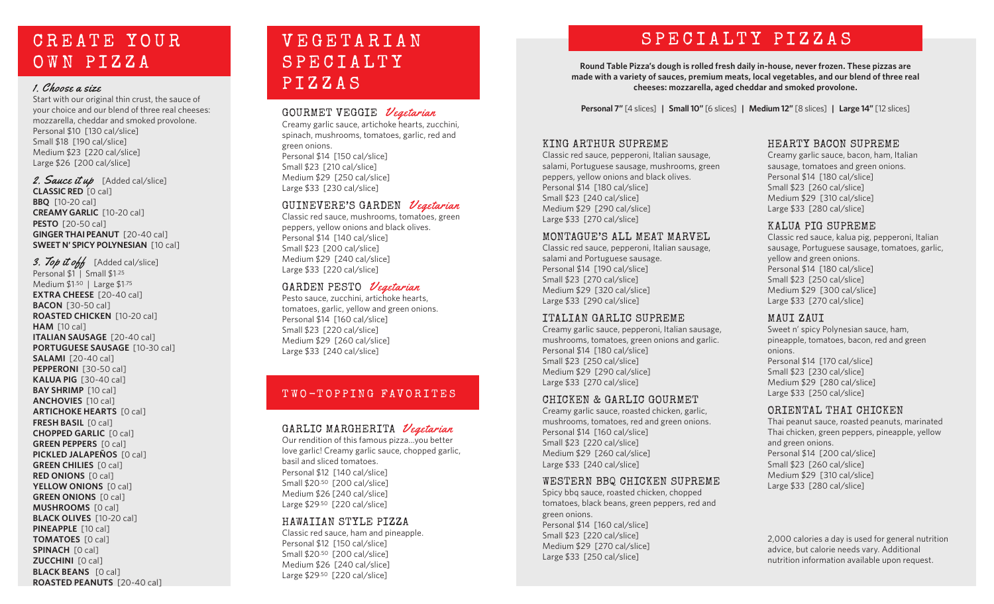# C R E A T E Y O U R OWN PIZZA

### 1. Choose a size

Start with our original thin crust, the sauce of your choice and our blend of three real cheeses: mozzarella, cheddar and smoked provolone. Personal \$10 [130 cal/slice] Small \$18 [190 cal/slice] Medium \$23 [220 cal/slice] Large \$26 [200 cal/slice]

2. Sauce it up [Added cal/slice] **CLASSIC RED** [0 cal] **BBQ** [10-20 cal] **CREAMY GARLIC** [10-20 cal] **PESTO** [20-50 cal] **GINGER THAI PEANUT** [20-40 cal] **SWEET N' SPICY POLYNESIAN** [10 cal]

3. Top it off [Added cal/slice] Personal \$1 | Small \$1.25 Medium \$1.50 | Large \$1.75 **EXTRA CHEESE** [20-40 cal] **BACON** [30-50 cal] **ROASTED CHICKEN** [10-20 cal] **HAM** [10 cal] **ITALIAN SAUSAGE** [20-40 cal] **PORTUGUESE SAUSAGE** [10-30 cal] **SALAMI** [20-40 cal] **PEPPERONI** [30-50 cal] **KALUA PIG** [30-40 cal] **BAY SHRIMP** [10 cal] **ANCHOVIES** [10 cal] **ARTICHOKE HEARTS** [0 cal] **FRESH BASIL** [0 cal] **CHOPPED GARLIC** [0 cal] **GREEN PEPPERS** [0 cal] **PICKLED JALAPEÑOS** [0 cal] **GREEN CHILIES** [0 cal] **RED ONIONS** [0 cal] YELLOW ONIONS [0 cal] **GREEN ONIONS** [0 cal] **MUSHROOMS** [0 cal] **BLACK OLIVES** [10-20 cal] **PINEAPPLE** [10 cal] **TOMATOES** [0 cal] **SPINACH** [0 cal] **ZUCCHINI** [0 cal] **BLACK BEANS** [0 cal] **ROASTED PEANUTS** [20-40 cal]

### V E G E T A R I A N **SPECIALTY** P I Z Z A S

### GOURMET VEGGIE *Vegetarian*

Creamy garlic sauce, artichoke hearts, zucchini, spinach, mushrooms, tomatoes, garlic, red and green onions. Personal \$14 [150 cal/slice] Small \$23 [210 cal/slice] Medium \$29 [250 cal/slice] Large \$33 [230 cal/slice]

### GUINEVERE'S GARDEN Vegetarian

Classic red sauce, mushrooms, tomatoes, green peppers, yellow onions and black olives. Personal \$14 [140 cal/slice] Small \$23 [200 cal/slice] Medium \$29 [240 cal/slice] Large \$33 [220 cal/slice]

### GARDEN PESTO Vegetarian

Pesto sauce, zucchini, artichoke hearts, tomatoes, garlic, yellow and green onions. Personal \$14 [160 cal/slice] Small \$23 [220 cal/slice] Medium \$29 [260 cal/slice] Large \$33 [240 cal/slice]

### TWO-TOPPING FAVORITES

### GARLIC MARGHERITA Vegetarian

Our rendition of this famous pizza...you better love garlic! Creamy garlic sauce, chopped garlic, basil and sliced tomatoes. Personal \$12 [140 cal/slice] Small \$20.50 [200 cal/slice] Medium \$26 [240 cal/slice] Large \$29.50 [220 cal/slice]

#### HAWAIIAN STYLE PIZZA

Classic red sauce, ham and pineapple. Personal \$12 [150 cal/slice] Small \$20.50 [200 cal/slice] Medium \$26 [240 cal/slice] Large \$29.50 [220 cal/slice]

# SPECIALTY PIZZAS

**Round Table Pizza's dough is rolled fresh daily in-house, never frozen. These pizzas are made with a variety of sauces, premium meats, local vegetables, and our blend of three real cheeses: mozzarella, aged cheddar and smoked provolone.** 

**Personal 7"** [4 slices] **| Small 10"** [6 slices] **| Medium 12"** [8 slices] **| Large 14"** [12 slices]

### KING ARTHUR SUPREME

Classic red sauce, pepperoni, Italian sausage, salami, Portuguese sausage, mushrooms, green peppers, yellow onions and black olives. Personal \$14 [180 cal/slice] Small \$23 [240 cal/slice] Medium \$29 [290 cal/slice] Large \$33 [270 cal/slice]

#### MONTAGUE'S ALL MEAT MARVEL

Classic red sauce, pepperoni, Italian sausage, salami and Portuguese sausage. Personal \$14 [190 cal/slice] Small \$23 [270 cal/slice] Medium \$29 [320 cal/slice] Large \$33 [290 cal/slice]

### ITALIAN GARLIC SUPREME

Creamy garlic sauce, pepperoni, Italian sausage, mushrooms, tomatoes, green onions and garlic. Personal \$14 [180 cal/slice] Small \$23 [250 cal/slice] Medium \$29 [290 cal/slice] Large \$33 [270 cal/slice]

### CHICKEN & GARLIC GOURMET

Creamy garlic sauce, roasted chicken, garlic, mushrooms, tomatoes, red and green onions. Personal \$14 [160 cal/slice] Small \$23 [220 cal/slice] Medium \$29 [260 cal/slice] Large \$33 [240 cal/slice]

### WESTERN BBQ CHICKEN SUPREME

Spicy bbq sauce, roasted chicken, chopped tomatoes, black beans, green peppers, red and green onions. Personal \$14 [160 cal/slice] Small \$23 [220 cal/slice] Medium \$29 [270 cal/slice] Large \$33 [250 cal/slice]

### HEARTY BACON SUPREME

Creamy garlic sauce, bacon, ham, Italian sausage, tomatoes and green onions. Personal \$14 [180 cal/slice] Small \$23 [260 cal/slice] Medium \$29 [310 cal/slice] Large \$33 [280 cal/slice]

### KALUA PIG SUPREME

Classic red sauce, kalua pig, pepperoni, Italian sausage, Portuguese sausage, tomatoes, garlic, yellow and green onions. Personal \$14 [180 cal/slice] Small \$23 [250 cal/slice] Medium \$29 [300 cal/slice] Large \$33 [270 cal/slice]

### MAUI ZAUI

Sweet n' spicy Polynesian sauce, ham, pineapple, tomatoes, bacon, red and green onions. Personal \$14 [170 cal/slice] Small \$23 [230 cal/slice] Medium \$29 [280 cal/slice] Large \$33 [250 cal/slice]

### ORIENTAL THAI CHICKEN

Thai peanut sauce, roasted peanuts, marinated Thai chicken, green peppers, pineapple, yellow and green onions. Personal \$14 [200 cal/slice] Small \$23 [260 cal/slice] Medium \$29 [310 cal/slice] Large \$33 [280 cal/slice]

2,000 calories a day is used for general nutrition advice, but calorie needs vary. Additional nutrition information available upon request.